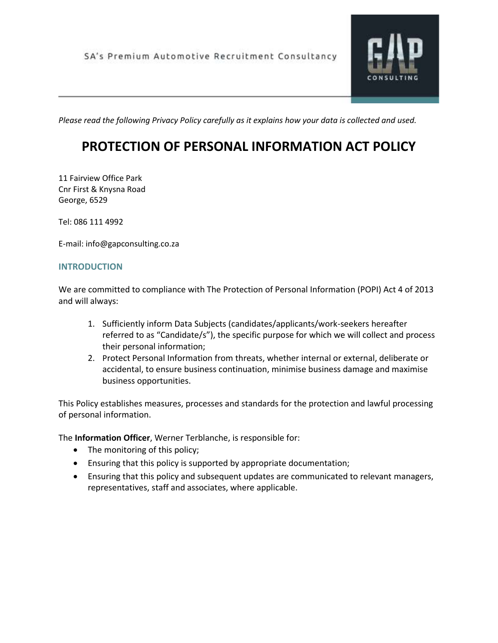

*Please read the following Privacy Policy carefully as it explains how your data is collected and used.*

# **PROTECTION OF PERSONAL INFORMATION ACT POLICY**

11 Fairview Office Park Cnr First & Knysna Road George, 6529

Tel: 086 111 4992

E-mail: info@gapconsulting.co.za

# **INTRODUCTION**

We are committed to compliance with The Protection of Personal Information (POPI) Act 4 of 2013 and will always:

- 1. Sufficiently inform Data Subjects (candidates/applicants/work-seekers hereafter referred to as "Candidate/s"), the specific purpose for which we will collect and process their personal information;
- 2. Protect Personal Information from threats, whether internal or external, deliberate or accidental, to ensure business continuation, minimise business damage and maximise business opportunities.

This Policy establishes measures, processes and standards for the protection and lawful processing of personal information.

The **Information Officer**, Werner Terblanche, is responsible for:

- The monitoring of this policy;
- Ensuring that this policy is supported by appropriate documentation;
- Ensuring that this policy and subsequent updates are communicated to relevant managers, representatives, staff and associates, where applicable.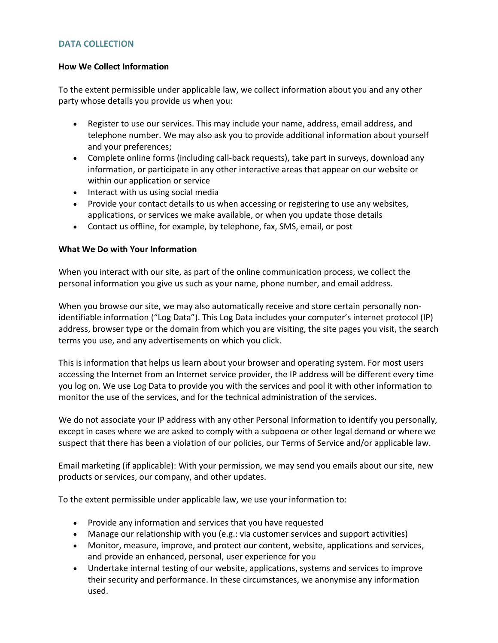# **DATA COLLECTION**

# **How We Collect Information**

To the extent permissible under applicable law, we collect information about you and any other party whose details you provide us when you:

- Register to use our services. This may include your name, address, email address, and telephone number. We may also ask you to provide additional information about yourself and your preferences;
- Complete online forms (including call-back requests), take part in surveys, download any information, or participate in any other interactive areas that appear on our website or within our application or service
- Interact with us using social media
- Provide your contact details to us when accessing or registering to use any websites, applications, or services we make available, or when you update those details
- Contact us offline, for example, by telephone, fax, SMS, email, or post

# **What We Do with Your Information**

When you interact with our site, as part of the online communication process, we collect the personal information you give us such as your name, phone number, and email address.

When you browse our site, we may also automatically receive and store certain personally nonidentifiable information ("Log Data"). This Log Data includes your computer's internet protocol (IP) address, browser type or the domain from which you are visiting, the site pages you visit, the search terms you use, and any advertisements on which you click.

This is information that helps us learn about your browser and operating system. For most users accessing the Internet from an Internet service provider, the IP address will be different every time you log on. We use Log Data to provide you with the services and pool it with other information to monitor the use of the services, and for the technical administration of the services.

We do not associate your IP address with any other Personal Information to identify you personally, except in cases where we are asked to comply with a subpoena or other legal demand or where we suspect that there has been a violation of our policies, our Terms of Service and/or applicable law.

Email marketing (if applicable): With your permission, we may send you emails about our site, new products or services, our company, and other updates.

To the extent permissible under applicable law, we use your information to:

- Provide any information and services that you have requested
- Manage our relationship with you (e.g.: via customer services and support activities)
- Monitor, measure, improve, and protect our content, website, applications and services, and provide an enhanced, personal, user experience for you
- Undertake internal testing of our website, applications, systems and services to improve their security and performance. In these circumstances, we anonymise any information used.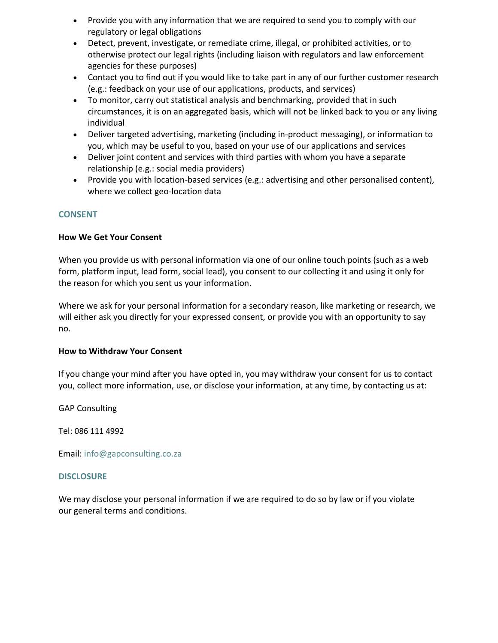- Provide you with any information that we are required to send you to comply with our regulatory or legal obligations
- Detect, prevent, investigate, or remediate crime, illegal, or prohibited activities, or to otherwise protect our legal rights (including liaison with regulators and law enforcement agencies for these purposes)
- Contact you to find out if you would like to take part in any of our further customer research (e.g.: feedback on your use of our applications, products, and services)
- To monitor, carry out statistical analysis and benchmarking, provided that in such circumstances, it is on an aggregated basis, which will not be linked back to you or any living individual
- Deliver targeted advertising, marketing (including in-product messaging), or information to you, which may be useful to you, based on your use of our applications and services
- Deliver joint content and services with third parties with whom you have a separate relationship (e.g.: social media providers)
- Provide you with location-based services (e.g.: advertising and other personalised content), where we collect geo-location data

# **CONSENT**

# **How We Get Your Consent**

When you provide us with personal information via one of our online touch points (such as a web form, platform input, lead form, social lead), you consent to our collecting it and using it only for the reason for which you sent us your information.

Where we ask for your personal information for a secondary reason, like marketing or research, we will either ask you directly for your expressed consent, or provide you with an opportunity to say no.

# **How to Withdraw Your Consent**

If you change your mind after you have opted in, you may withdraw your consent for us to contact you, collect more information, use, or disclose your information, at any time, by contacting us at:

GAP Consulting

Tel: 086 111 4992

Email: [info@gapconsulting.co.za](mailto:info@gapconsulting.co.za)

# **DISCLOSURE**

We may disclose your personal information if we are required to do so by law or if you violate our general terms and conditions.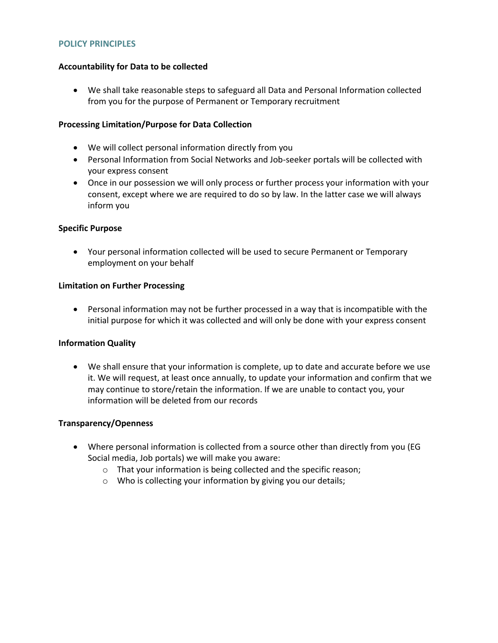#### **POLICY PRINCIPLES**

### **Accountability for Data to be collected**

 We shall take reasonable steps to safeguard all Data and Personal Information collected from you for the purpose of Permanent or Temporary recruitment

### **Processing Limitation/Purpose for Data Collection**

- We will collect personal information directly from you
- Personal Information from Social Networks and Job-seeker portals will be collected with your express consent
- Once in our possession we will only process or further process your information with your consent, except where we are required to do so by law. In the latter case we will always inform you

#### **Specific Purpose**

 Your personal information collected will be used to secure Permanent or Temporary employment on your behalf

#### **Limitation on Further Processing**

 Personal information may not be further processed in a way that is incompatible with the initial purpose for which it was collected and will only be done with your express consent

#### **Information Quality**

 We shall ensure that your information is complete, up to date and accurate before we use it. We will request, at least once annually, to update your information and confirm that we may continue to store/retain the information. If we are unable to contact you, your information will be deleted from our records

#### **Transparency/Openness**

- Where personal information is collected from a source other than directly from you (EG Social media, Job portals) we will make you aware:
	- o That your information is being collected and the specific reason;
	- o Who is collecting your information by giving you our details;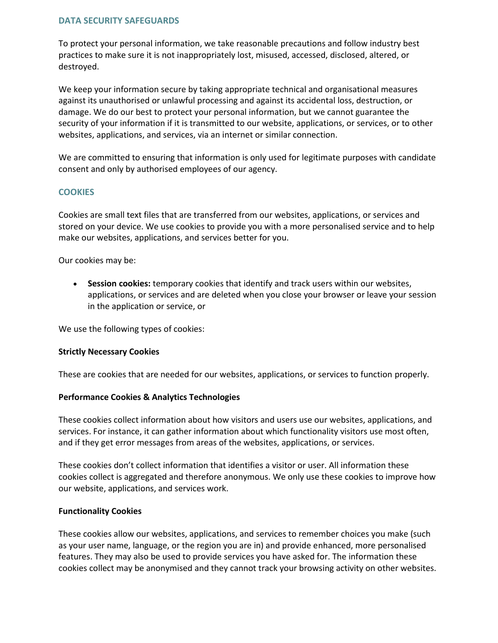# **DATA SECURITY SAFEGUARDS**

To protect your personal information, we take reasonable precautions and follow industry best practices to make sure it is not inappropriately lost, misused, accessed, disclosed, altered, or destroyed.

We keep your information secure by taking appropriate technical and organisational measures against its unauthorised or unlawful processing and against its accidental loss, destruction, or damage. We do our best to protect your personal information, but we cannot guarantee the security of your information if it is transmitted to our website, applications, or services, or to other websites, applications, and services, via an internet or similar connection.

We are committed to ensuring that information is only used for legitimate purposes with candidate consent and only by authorised employees of our agency.

#### **COOKIES**

Cookies are small text files that are transferred from our websites, applications, or services and stored on your device. We use cookies to provide you with a more personalised service and to help make our websites, applications, and services better for you.

Our cookies may be:

 **Session cookies:** temporary cookies that identify and track users within our websites, applications, or services and are deleted when you close your browser or leave your session in the application or service, or

We use the following types of cookies:

#### **Strictly Necessary Cookies**

These are cookies that are needed for our websites, applications, or services to function properly.

#### **Performance Cookies & Analytics Technologies**

These cookies collect information about how visitors and users use our websites, applications, and services. For instance, it can gather information about which functionality visitors use most often, and if they get error messages from areas of the websites, applications, or services.

These cookies don't collect information that identifies a visitor or user. All information these cookies collect is aggregated and therefore anonymous. We only use these cookies to improve how our website, applications, and services work.

#### **Functionality Cookies**

These cookies allow our websites, applications, and services to remember choices you make (such as your user name, language, or the region you are in) and provide enhanced, more personalised features. They may also be used to provide services you have asked for. The information these cookies collect may be anonymised and they cannot track your browsing activity on other websites.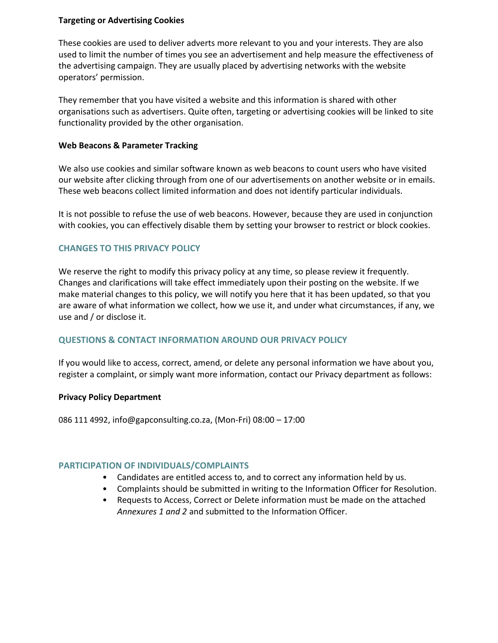# **Targeting or Advertising Cookies**

These cookies are used to deliver adverts more relevant to you and your interests. They are also used to limit the number of times you see an advertisement and help measure the effectiveness of the advertising campaign. They are usually placed by advertising networks with the website operators' permission.

They remember that you have visited a website and this information is shared with other organisations such as advertisers. Quite often, targeting or advertising cookies will be linked to site functionality provided by the other organisation.

#### **Web Beacons & Parameter Tracking**

We also use cookies and similar software known as web beacons to count users who have visited our website after clicking through from one of our advertisements on another website or in emails. These web beacons collect limited information and does not identify particular individuals.

It is not possible to refuse the use of web beacons. However, because they are used in conjunction with cookies, you can effectively disable them by setting your browser to restrict or block cookies.

# **CHANGES TO THIS PRIVACY POLICY**

We reserve the right to modify this privacy policy at any time, so please review it frequently. Changes and clarifications will take effect immediately upon their posting on the website. If we make material changes to this policy, we will notify you here that it has been updated, so that you are aware of what information we collect, how we use it, and under what circumstances, if any, we use and / or disclose it.

#### **QUESTIONS & CONTACT INFORMATION AROUND OUR PRIVACY POLICY**

If you would like to access, correct, amend, or delete any personal information we have about you, register a complaint, or simply want more information, contact our Privacy department as follows:

#### **Privacy Policy Department**

086 111 4992, info@gapconsulting.co.za, (Mon-Fri) 08:00 – 17:00

#### **PARTICIPATION OF INDIVIDUALS/COMPLAINTS**

- Candidates are entitled access to, and to correct any information held by us.
- Complaints should be submitted in writing to the Information Officer for Resolution.
- Requests to Access, Correct or Delete information must be made on the attached *Annexures 1 and 2* and submitted to the Information Officer.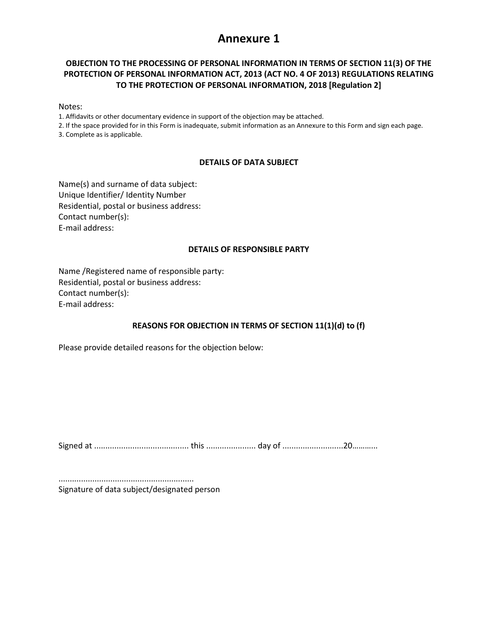# **Annexure 1**

# **OBJECTION TO THE PROCESSING OF PERSONAL INFORMATION IN TERMS OF SECTION 11(3) OF THE PROTECTION OF PERSONAL INFORMATION ACT, 2013 (ACT NO. 4 OF 2013) REGULATIONS RELATING TO THE PROTECTION OF PERSONAL INFORMATION, 2018 [Regulation 2]**

Notes:

1. Affidavits or other documentary evidence in support of the objection may be attached.

2. If the space provided for in this Form is inadequate, submit information as an Annexure to this Form and sign each page. 3. Complete as is applicable.

#### **DETAILS OF DATA SUBJECT**

Name(s) and surname of data subject: Unique Identifier/ Identity Number Residential, postal or business address: Contact number(s): E-mail address:

#### **DETAILS OF RESPONSIBLE PARTY**

Name /Registered name of responsible party: Residential, postal or business address: Contact number(s): E-mail address:

### **REASONS FOR OBJECTION IN TERMS OF SECTION 11(1)(d) to (f)**

Please provide detailed reasons for the objection below:

Signed at .......................................... this ...................... day of ...........................20………...

............................................................ Signature of data subject/designated person